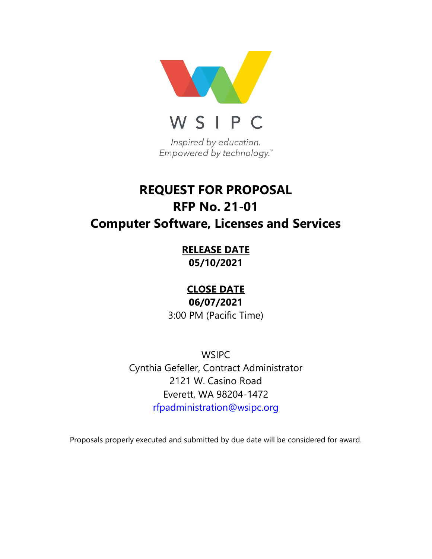

# **REQUEST FOR PROPOSAL RFP No. 21-01 Computer Software, Licenses and Services**

**RELEASE DATE 05/10/2021**

**CLOSE DATE**

**06/07/2021** 3:00 PM (Pacific Time)

**WSIPC** Cynthia Gefeller, Contract Administrator 2121 W. Casino Road Everett, WA 98204-1472 [rfpadministration@wsipc.org](mailto:rfpadministration@wsipc.org)

Proposals properly executed and submitted by due date will be considered for award.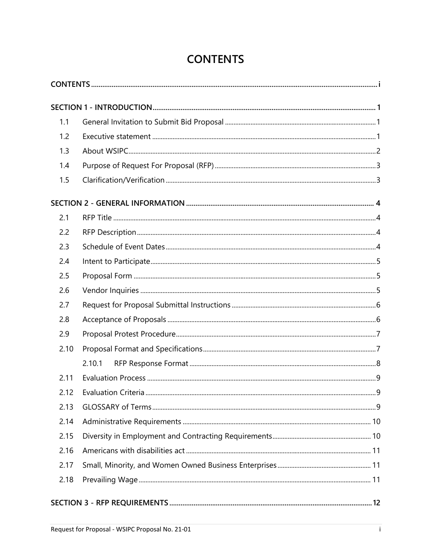| <b>CONTENTS</b> |  |
|-----------------|--|
|-----------------|--|

<span id="page-1-0"></span>

| 1.1  |        |  |  |
|------|--------|--|--|
| 1.2  |        |  |  |
| 1.3  |        |  |  |
| 1.4  |        |  |  |
| 1.5  |        |  |  |
|      |        |  |  |
| 2.1  |        |  |  |
| 2.2  |        |  |  |
| 2.3  |        |  |  |
| 2.4  |        |  |  |
| 2.5  |        |  |  |
| 2.6  |        |  |  |
| 2.7  |        |  |  |
| 2.8  |        |  |  |
| 2.9  |        |  |  |
| 2.10 |        |  |  |
|      | 2.10.1 |  |  |
| 2.11 |        |  |  |
| 2.12 |        |  |  |
| 2.13 |        |  |  |
| 2.14 |        |  |  |
| 2.15 |        |  |  |
| 2.16 |        |  |  |
| 2.17 |        |  |  |
| 2.18 |        |  |  |
|      |        |  |  |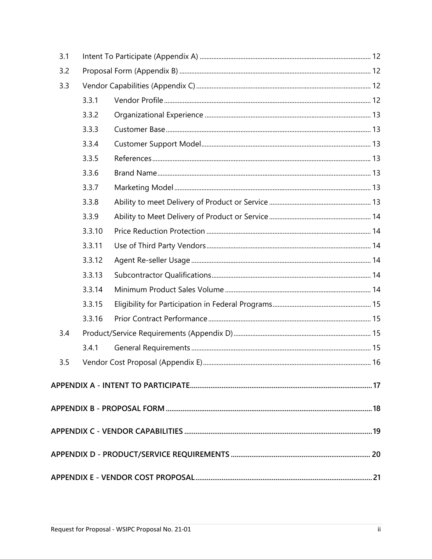| 3.1 |        |  |  |
|-----|--------|--|--|
| 3.2 |        |  |  |
| 3.3 |        |  |  |
|     | 3.3.1  |  |  |
|     | 3.3.2  |  |  |
|     | 3.3.3  |  |  |
|     | 3.3.4  |  |  |
|     | 3.3.5  |  |  |
|     | 3.3.6  |  |  |
|     | 3.3.7  |  |  |
|     | 3.3.8  |  |  |
|     | 3.3.9  |  |  |
|     | 3.3.10 |  |  |
|     | 3.3.11 |  |  |
|     | 3.3.12 |  |  |
|     | 3.3.13 |  |  |
|     | 3.3.14 |  |  |
|     | 3.3.15 |  |  |
|     | 3.3.16 |  |  |
| 3.4 |        |  |  |
|     | 3.4.1  |  |  |
| 3.5 |        |  |  |
|     |        |  |  |
|     |        |  |  |
|     |        |  |  |
|     |        |  |  |
|     |        |  |  |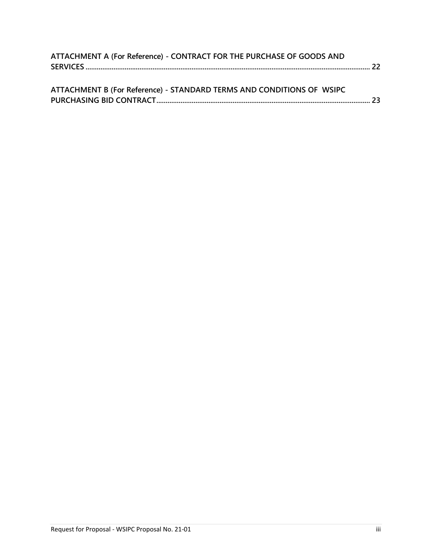| ATTACHMENT A (For Reference) - CONTRACT FOR THE PURCHASE OF GOODS AND  |  |
|------------------------------------------------------------------------|--|
|                                                                        |  |
|                                                                        |  |
| ATTACHMENT R (For Poforonco) - STANDARD TERMS AND CONDITIONS OF MISIRC |  |

| ATTACHIVIENT B (FOI REIEIEIICE) - STANDARD TERIVIS AND CONDITIONS OF WSIPC. |  |
|-----------------------------------------------------------------------------|--|
|                                                                             |  |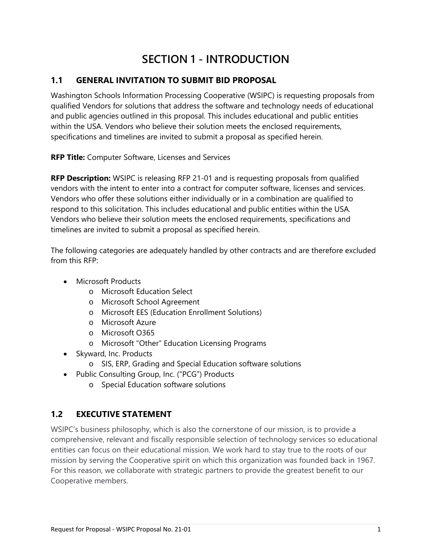## **SECTION 1 - INTRODUCTION**

## <span id="page-4-1"></span><span id="page-4-0"></span>**1.1 GENERAL INVITATION TO SUBMIT BID PROPOSAL**

Washington Schools Information Processing Cooperative (WSIPC) is requesting proposals from qualified Vendors for solutions that address the software and technology needs of educational and public agencies outlined in this proposal. This includes educational and public entities within the USA. Vendors who believe their solution meets the enclosed requirements, specifications and timelines are invited to submit a proposal as specified herein.

**RFP Title:** Computer Software, Licenses and Services

**RFP Description:** WSIPC is releasing RFP 21-01 and is requesting proposals from qualified vendors with the intent to enter into a contract for computer software, licenses and services. Vendors who offer these solutions either individually or in a combination are qualified to respond to this solicitation. This includes educational and public entities within the USA. Vendors who believe their solution meets the enclosed requirements, specifications and timelines are invited to submit a proposal as specified herein.

The following categories are adequately handled by other contracts and are therefore excluded from this RFP:

- Microsoft Products
	- o Microsoft Education Select
	- o Microsoft School Agreement
	- o Microsoft EES (Education Enrollment Solutions)
	- o Microsoft Azure
	- o Microsoft O365
	- o Microsoft "Other" Education Licensing Programs
- Skyward, Inc. Products
	- o SIS, ERP, Grading and Special Education software solutions
- Public Consulting Group, Inc. ("PCG") Products
	- o Special Education software solutions

## <span id="page-4-2"></span>**1.2 EXECUTIVE STATEMENT**

WSIPC's business philosophy, which is also the cornerstone of our mission, is to provide a comprehensive, relevant and fiscally responsible selection of technology services so educational entities can focus on their educational mission. We work hard to stay true to the roots of our mission by serving the Cooperative spirit on which this organization was founded back in 1967. For this reason, we collaborate with strategic partners to provide the greatest benefit to our Cooperative members.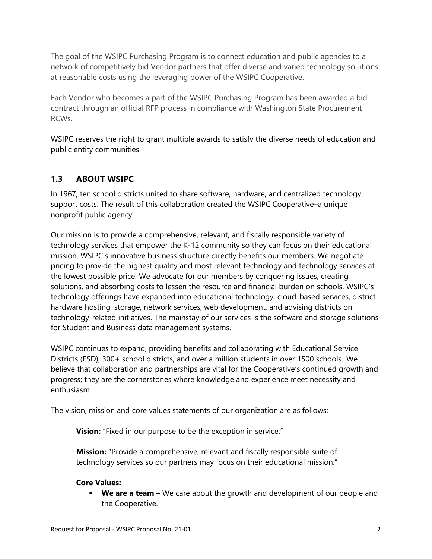The goal of the WSIPC Purchasing Program is to connect education and public agencies to a network of competitively bid Vendor partners that offer diverse and varied technology solutions at reasonable costs using the leveraging power of the WSIPC Cooperative.

Each Vendor who becomes a part of the WSIPC Purchasing Program has been awarded a bid contract through an official RFP process in compliance with Washington State Procurement RCWs.

WSIPC reserves the right to grant multiple awards to satisfy the diverse needs of education and public entity communities.

## <span id="page-5-0"></span>**1.3 ABOUT WSIPC**

In 1967, ten school districts united to share software, hardware, and centralized technology support costs. The result of this collaboration created the WSIPC Cooperative–a unique nonprofit public agency.

Our mission is to provide a comprehensive, relevant, and fiscally responsible variety of technology services that empower the K-12 community so they can focus on their educational mission. WSIPC's innovative business structure directly benefits our members. We negotiate pricing to provide the highest quality and most relevant technology and technology services at the lowest possible price. We advocate for our members by conquering issues, creating solutions, and absorbing costs to lessen the resource and financial burden on schools. WSIPC's technology offerings have expanded into educational technology, cloud-based services, district hardware hosting, storage, network services, web development, and advising districts on technology-related initiatives. The mainstay of our services is the software and storage solutions for Student and Business data management systems.

WSIPC continues to expand, providing benefits and collaborating with Educational Service Districts (ESD), 300+ school districts, and over a million students in over 1500 schools.  We believe that collaboration and partnerships are vital for the Cooperative's continued growth and progress; they are the cornerstones where knowledge and experience meet necessity and enthusiasm.

The vision, mission and core values statements of our organization are as follows:

**Vision:** "Fixed in our purpose to be the exception in service."

**Mission:** "Provide a comprehensive, relevant and fiscally responsible suite of technology services so our partners may focus on their educational mission."

#### **Core Values:**

 **We are a team –** We care about the growth and development of our people and the Cooperative.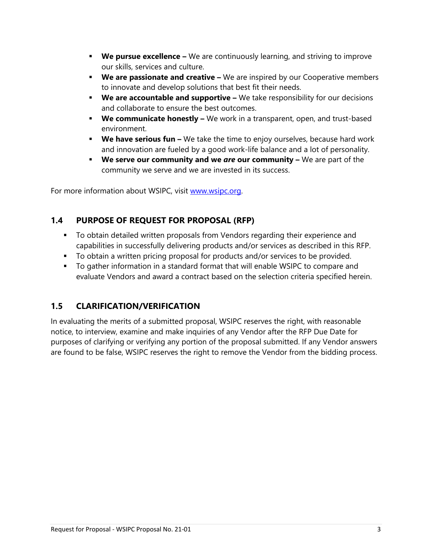- **We pursue excellence –** We are continuously learning, and striving to improve our skills, services and culture.
- **We are passionate and creative –** We are inspired by our Cooperative members to innovate and develop solutions that best fit their needs.
- **We are accountable and supportive –** We take responsibility for our decisions and collaborate to ensure the best outcomes.
- **We communicate honestly –** We work in a transparent, open, and trust-based environment.
- **We have serious fun –** We take the time to enjoy ourselves, because hard work and innovation are fueled by a good work-life balance and a lot of personality.
- **We serve our community and we** *are* **our community –** We are part of the community we serve and we are invested in its success.

For more information about WSIPC, visit [www.wsipc.org.](http://www.wsipc.org/)

## <span id="page-6-0"></span>**1.4 PURPOSE OF REQUEST FOR PROPOSAL (RFP)**

- To obtain detailed written proposals from Vendors regarding their experience and capabilities in successfully delivering products and/or services as described in this RFP.
- To obtain a written pricing proposal for products and/or services to be provided.
- To gather information in a standard format that will enable WSIPC to compare and evaluate Vendors and award a contract based on the selection criteria specified herein.

## <span id="page-6-1"></span>**1.5 CLARIFICATION/VERIFICATION**

In evaluating the merits of a submitted proposal, WSIPC reserves the right, with reasonable notice, to interview, examine and make inquiries of any Vendor after the RFP Due Date for purposes of clarifying or verifying any portion of the proposal submitted. If any Vendor answers are found to be false, WSIPC reserves the right to remove the Vendor from the bidding process.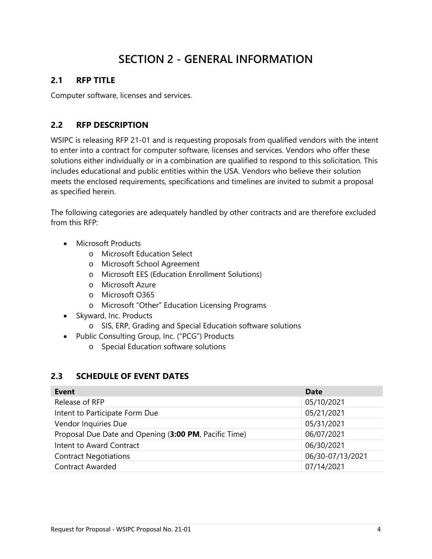## **SECTION 2 - GENERAL INFORMATION**

## <span id="page-7-1"></span><span id="page-7-0"></span>**2.1 RFP TITLE**

Computer software, licenses and services.

## <span id="page-7-2"></span>**2.2 RFP DESCRIPTION**

WSIPC is releasing RFP 21-01 and is requesting proposals from qualified vendors with the intent to enter into a contract for computer software, licenses and services. Vendors who offer these solutions either individually or in a combination are qualified to respond to this solicitation. This includes educational and public entities within the USA. Vendors who believe their solution meets the enclosed requirements, specifications and timelines are invited to submit a proposal as specified herein.

The following categories are adequately handled by other contracts and are therefore excluded from this RFP:

- Microsoft Products
	- o Microsoft Education Select
	- o Microsoft School Agreement
	- o Microsoft EES (Education Enrollment Solutions)
	- o Microsoft Azure
	- o Microsoft O365
	- o Microsoft "Other" Education Licensing Programs
- Skyward, Inc. Products
	- o SIS, ERP, Grading and Special Education software solutions
- Public Consulting Group, Inc. ("PCG") Products
	- o Special Education software solutions

## <span id="page-7-3"></span>**2.3 SCHEDULE OF EVENT DATES**

| Event                                                 | <b>Date</b>      |
|-------------------------------------------------------|------------------|
| Release of RFP                                        | 05/10/2021       |
| Intent to Participate Form Due                        | 05/21/2021       |
| Vendor Inquiries Due                                  | 05/31/2021       |
| Proposal Due Date and Opening (3:00 PM, Pacific Time) | 06/07/2021       |
| Intent to Award Contract                              | 06/30/2021       |
| <b>Contract Negotiations</b>                          | 06/30-07/13/2021 |
| <b>Contract Awarded</b>                               | 07/14/2021       |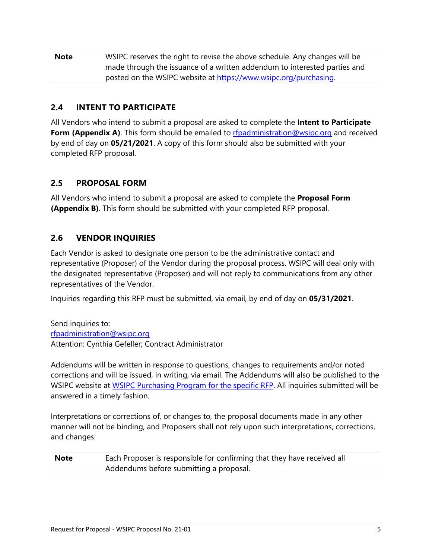| <b>Note</b> | WSIPC reserves the right to revise the above schedule. Any changes will be |
|-------------|----------------------------------------------------------------------------|
|             | made through the issuance of a written addendum to interested parties and  |
|             | posted on the WSIPC website at https://www.wsipc.org/purchasing.           |

## <span id="page-8-0"></span>**2.4 INTENT TO PARTICIPATE**

All Vendors who intend to submit a proposal are asked to complete the **Intent to Participate Form (Appendix A)**. This form should be emailed to **rfpadministration@wsipc.org** and received by end of day on **05/21/2021**. A copy of this form should also be submitted with your completed RFP proposal.

## <span id="page-8-1"></span>**2.5 PROPOSAL FORM**

All Vendors who intend to submit a proposal are asked to complete the **Proposal Form (Appendix B)**. This form should be submitted with your completed RFP proposal.

## <span id="page-8-2"></span>**2.6 VENDOR INQUIRIES**

Each Vendor is asked to designate one person to be the administrative contact and representative (Proposer) of the Vendor during the proposal process. WSIPC will deal only with the designated representative (Proposer) and will not reply to communications from any other representatives of the Vendor.

Inquiries regarding this RFP must be submitted, via email, by end of day on **05/31/2021**.

Send inquiries to: [rfpadministration@wsipc.org](mailto:rfpadministration@wsipc.org) Attention: Cynthia Gefeller; Contract Administrator

Addendums will be written in response to questions, changes to requirements and/or noted corrections and will be issued, in writing, via email. The Addendums will also be published to the WSIPC website at [WSIPC Purchasing Program](https://www.wsipc.org/purchasing) for the specific RFP. All inquiries submitted will be answered in a timely fashion.

Interpretations or corrections of, or changes to, the proposal documents made in any other manner will not be binding, and Proposers shall not rely upon such interpretations, corrections, and changes.

**Note** Each Proposer is responsible for confirming that they have received all Addendums before submitting a proposal.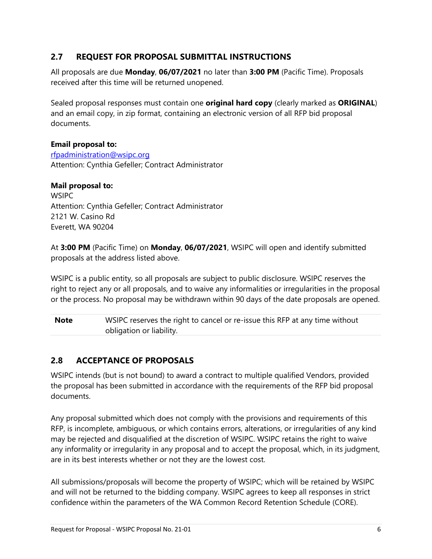## <span id="page-9-0"></span>**2.7 REQUEST FOR PROPOSAL SUBMITTAL INSTRUCTIONS**

All proposals are due **Monday**, **06/07/2021** no later than **3:00 PM** (Pacific Time). Proposals received after this time will be returned unopened.

Sealed proposal responses must contain one **original hard copy** (clearly marked as **ORIGINAL**) and an email copy, in zip format, containing an electronic version of all RFP bid proposal documents.

#### **Email proposal to:**

[rfpadministration@wsipc.org](mailto:rfpadministration@wsipc.org) Attention: Cynthia Gefeller; Contract Administrator

#### **Mail proposal to:**

**WSIPC** Attention: Cynthia Gefeller; Contract Administrator 2121 W. Casino Rd Everett, WA 90204

At **3:00 PM** (Pacific Time) on **Monday**, **06/07/2021**, WSIPC will open and identify submitted proposals at the address listed above.

WSIPC is a public entity, so all proposals are subject to public disclosure. WSIPC reserves the right to reject any or all proposals, and to waive any informalities or irregularities in the proposal or the process. No proposal may be withdrawn within 90 days of the date proposals are opened.

**Note** WSIPC reserves the right to cancel or re-issue this RFP at any time without obligation or liability.

## <span id="page-9-1"></span>**2.8 ACCEPTANCE OF PROPOSALS**

WSIPC intends (but is not bound) to award a contract to multiple qualified Vendors, provided the proposal has been submitted in accordance with the requirements of the RFP bid proposal documents.

Any proposal submitted which does not comply with the provisions and requirements of this RFP, is incomplete, ambiguous, or which contains errors, alterations, or irregularities of any kind may be rejected and disqualified at the discretion of WSIPC. WSIPC retains the right to waive any informality or irregularity in any proposal and to accept the proposal, which, in its judgment, are in its best interests whether or not they are the lowest cost.

All submissions/proposals will become the property of WSIPC; which will be retained by WSIPC and will not be returned to the bidding company. WSIPC agrees to keep all responses in strict confidence within the parameters of the WA Common Record Retention Schedule (CORE).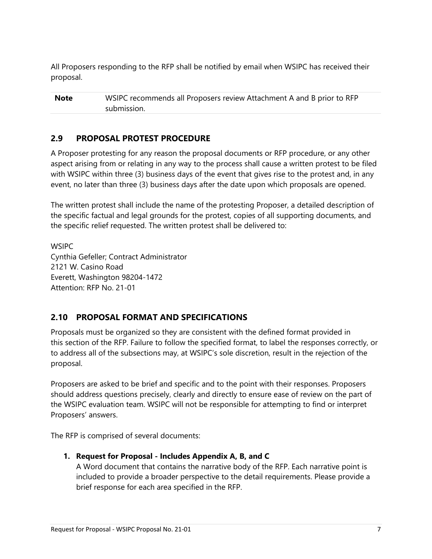All Proposers responding to the RFP shall be notified by email when WSIPC has received their proposal.

**Note** WSIPC recommends all Proposers review Attachment A and B prior to RFP submission.

## <span id="page-10-0"></span>**2.9 PROPOSAL PROTEST PROCEDURE**

A Proposer protesting for any reason the proposal documents or RFP procedure, or any other aspect arising from or relating in any way to the process shall cause a written protest to be filed with WSIPC within three (3) business days of the event that gives rise to the protest and, in any event, no later than three (3) business days after the date upon which proposals are opened.

The written protest shall include the name of the protesting Proposer, a detailed description of the specific factual and legal grounds for the protest, copies of all supporting documents, and the specific relief requested. The written protest shall be delivered to:

**WSIPC** Cynthia Gefeller; Contract Administrator 2121 W. Casino Road Everett, Washington 98204-1472 Attention: RFP No. 21-01

## <span id="page-10-1"></span>**2.10 PROPOSAL FORMAT AND SPECIFICATIONS**

Proposals must be organized so they are consistent with the defined format provided in this section of the RFP. Failure to follow the specified format, to label the responses correctly, or to address all of the subsections may, at WSIPC's sole discretion, result in the rejection of the proposal.

Proposers are asked to be brief and specific and to the point with their responses. Proposers should address questions precisely, clearly and directly to ensure ease of review on the part of the WSIPC evaluation team. WSIPC will not be responsible for attempting to find or interpret Proposers' answers.

The RFP is comprised of several documents:

**1. Request for Proposal - Includes Appendix A, B, and C**

A Word document that contains the narrative body of the RFP. Each narrative point is included to provide a broader perspective to the detail requirements. Please provide a brief response for each area specified in the RFP.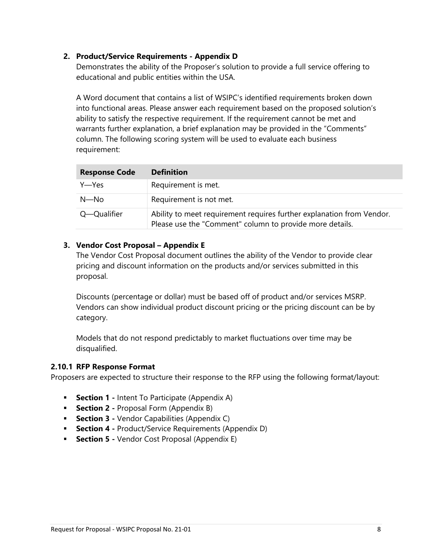#### **2. Product/Service Requirements - Appendix D**

Demonstrates the ability of the Proposer's solution to provide a full service offering to educational and public entities within the USA.

A Word document that contains a list of WSIPC's identified requirements broken down into functional areas. Please answer each requirement based on the proposed solution's ability to satisfy the respective requirement. If the requirement cannot be met and warrants further explanation, a brief explanation may be provided in the "Comments" column. The following scoring system will be used to evaluate each business requirement:

| <b>Response Code</b> | <b>Definition</b>                                                                                                                 |
|----------------------|-----------------------------------------------------------------------------------------------------------------------------------|
| Y—Yes                | Requirement is met.                                                                                                               |
| N—No                 | Requirement is not met.                                                                                                           |
| Q—Qualifier          | Ability to meet requirement requires further explanation from Vendor.<br>Please use the "Comment" column to provide more details. |

#### **3. Vendor Cost Proposal – Appendix E**

The Vendor Cost Proposal document outlines the ability of the Vendor to provide clear pricing and discount information on the products and/or services submitted in this proposal.

Discounts (percentage or dollar) must be based off of product and/or services MSRP. Vendors can show individual product discount pricing or the pricing discount can be by category.

Models that do not respond predictably to market fluctuations over time may be disqualified.

#### <span id="page-11-0"></span>**2.10.1 RFP Response Format**

Proposers are expected to structure their response to the RFP using the following format/layout:

- **Section 1 -** Intent To Participate (Appendix A)
- **Section 2 -** Proposal Form (Appendix B)
- **Section 3 -** Vendor Capabilities (Appendix C)
- **Section 4 -** Product/Service Requirements (Appendix D)
- **Section 5 -** Vendor Cost Proposal (Appendix E)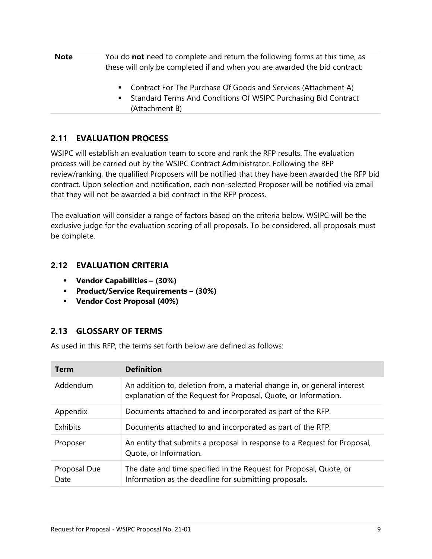- **Note** You do **not** need to complete and return the following forms at this time, as these will only be completed if and when you are awarded the bid contract:
	- Contract For The Purchase Of Goods and Services (Attachment A)
	- Standard Terms And Conditions Of WSIPC Purchasing Bid Contract (Attachment B)

## <span id="page-12-0"></span>**2.11 EVALUATION PROCESS**

WSIPC will establish an evaluation team to score and rank the RFP results. The evaluation process will be carried out by the WSIPC Contract Administrator. Following the RFP review/ranking, the qualified Proposers will be notified that they have been awarded the RFP bid contract. Upon selection and notification, each non-selected Proposer will be notified via email that they will not be awarded a bid contract in the RFP process.

The evaluation will consider a range of factors based on the criteria below. WSIPC will be the exclusive judge for the evaluation scoring of all proposals. To be considered, all proposals must be complete.

## <span id="page-12-1"></span>**2.12 EVALUATION CRITERIA**

- **Vendor Capabilities – (30%)**
- **Product/Service Requirements – (30%)**
- **Vendor Cost Proposal (40%)**

## <span id="page-12-2"></span>**2.13 GLOSSARY OF TERMS**

As used in this RFP, the terms set forth below are defined as follows:

| <b>Term</b>          | <b>Definition</b>                                                                                                                           |
|----------------------|---------------------------------------------------------------------------------------------------------------------------------------------|
| Addendum             | An addition to, deletion from, a material change in, or general interest<br>explanation of the Request for Proposal, Quote, or Information. |
| Appendix             | Documents attached to and incorporated as part of the RFP.                                                                                  |
| Exhibits             | Documents attached to and incorporated as part of the RFP.                                                                                  |
| Proposer             | An entity that submits a proposal in response to a Request for Proposal,<br>Quote, or Information.                                          |
| Proposal Due<br>Date | The date and time specified in the Request for Proposal, Quote, or<br>Information as the deadline for submitting proposals.                 |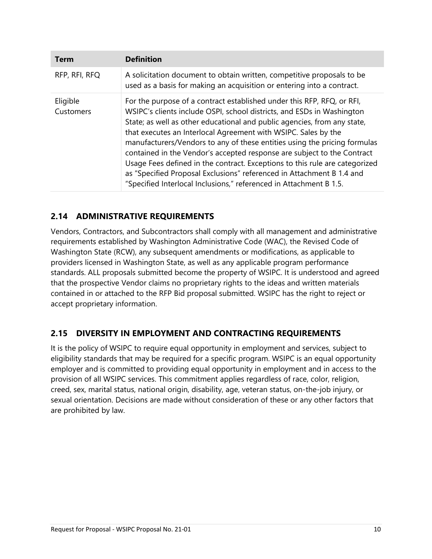| <b>Term</b>           | <b>Definition</b>                                                                                                                                                                                                                                                                                                                                                                                                                                                                                                                                                                                                                                                                    |
|-----------------------|--------------------------------------------------------------------------------------------------------------------------------------------------------------------------------------------------------------------------------------------------------------------------------------------------------------------------------------------------------------------------------------------------------------------------------------------------------------------------------------------------------------------------------------------------------------------------------------------------------------------------------------------------------------------------------------|
| RFP, RFI, RFQ         | A solicitation document to obtain written, competitive proposals to be<br>used as a basis for making an acquisition or entering into a contract.                                                                                                                                                                                                                                                                                                                                                                                                                                                                                                                                     |
| Eligible<br>Customers | For the purpose of a contract established under this RFP, RFQ, or RFI,<br>WSIPC's clients include OSPI, school districts, and ESDs in Washington<br>State; as well as other educational and public agencies, from any state,<br>that executes an Interlocal Agreement with WSIPC. Sales by the<br>manufacturers/Vendors to any of these entities using the pricing formulas<br>contained in the Vendor's accepted response are subject to the Contract<br>Usage Fees defined in the contract. Exceptions to this rule are categorized<br>as "Specified Proposal Exclusions" referenced in Attachment B 1.4 and<br>"Specified Interlocal Inclusions," referenced in Attachment B 1.5. |

## <span id="page-13-0"></span>**2.14 ADMINISTRATIVE REQUIREMENTS**

Vendors, Contractors, and Subcontractors shall comply with all management and administrative requirements established by Washington Administrative Code (WAC), the Revised Code of Washington State (RCW), any subsequent amendments or modifications, as applicable to providers licensed in Washington State, as well as any applicable program performance standards. ALL proposals submitted become the property of WSIPC. It is understood and agreed that the prospective Vendor claims no proprietary rights to the ideas and written materials contained in or attached to the RFP Bid proposal submitted. WSIPC has the right to reject or accept proprietary information.

## <span id="page-13-1"></span>**2.15 DIVERSITY IN EMPLOYMENT AND CONTRACTING REQUIREMENTS**

It is the policy of WSIPC to require equal opportunity in employment and services, subject to eligibility standards that may be required for a specific program. WSIPC is an equal opportunity employer and is committed to providing equal opportunity in employment and in access to the provision of all WSIPC services. This commitment applies regardless of race, color, religion, creed, sex, marital status, national origin, disability, age, veteran status, on-the-job injury, or sexual orientation. Decisions are made without consideration of these or any other factors that are prohibited by law.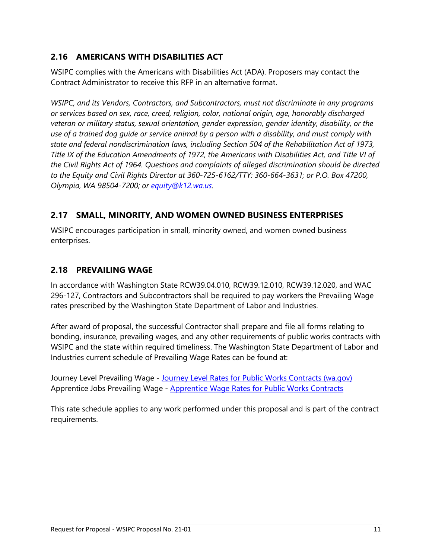## <span id="page-14-0"></span>**2.16 AMERICANS WITH DISABILITIES ACT**

WSIPC complies with the Americans with Disabilities Act (ADA). Proposers may contact the Contract Administrator to receive this RFP in an alternative format.

*WSIPC, and its Vendors, Contractors, and Subcontractors, must not discriminate in any programs or services based on sex, race, creed, religion, color, national origin, age, honorably discharged veteran or military status, sexual orientation, gender expression, gender identity, disability, or the use of a trained dog guide or service animal by a person with a disability, and must comply with state and federal nondiscrimination laws, including Section 504 of the Rehabilitation Act of 1973, Title IX of the Education Amendments of 1972, the Americans with Disabilities Act, and Title VI of the Civil Rights Act of 1964. Questions and complaints of alleged discrimination should be directed to the Equity and Civil Rights Director at 360-725-6162/TTY: 360-664-3631; or P.O. Box 47200, Olympia, WA 98504-7200; or [equity@k12.wa.us.](mailto:equity@k12.wa.us)*

## <span id="page-14-1"></span>**2.17 SMALL, MINORITY, AND WOMEN OWNED BUSINESS ENTERPRISES**

WSIPC encourages participation in small, minority owned, and women owned business enterprises.

## <span id="page-14-2"></span>**2.18 PREVAILING WAGE**

In accordance with Washington State RCW39.04.010, RCW39.12.010, RCW39.12.020, and WAC 296-127, Contractors and Subcontractors shall be required to pay workers the Prevailing Wage rates prescribed by the Washington State Department of Labor and Industries.

After award of proposal, the successful Contractor shall prepare and file all forms relating to bonding, insurance, prevailing wages, and any other requirements of public works contracts with WSIPC and the state within required timeliness. The Washington State Department of Labor and Industries current schedule of Prevailing Wage Rates can be found at:

Journey Level Prevailing Wage - [Journey Level Rates for Public Works Contracts \(wa.gov\)](https://secure.lni.wa.gov/wagelookup/) Apprentice Jobs Prevailing Wage - [Apprentice Wage Rates for Public Works Contracts](https://secure.lni.wa.gov/wagelookup/ApprenticeWageLookup.aspx)

This rate schedule applies to any work performed under this proposal and is part of the contract requirements.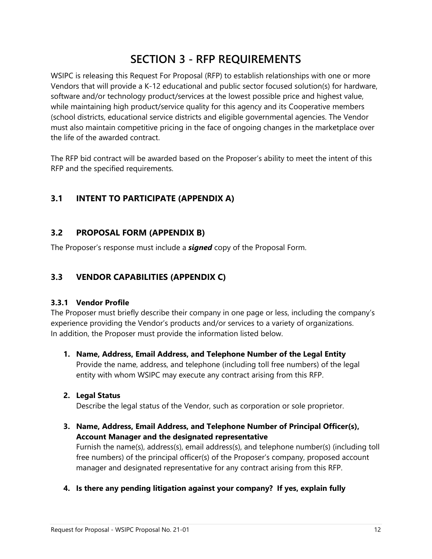## **SECTION 3 - RFP REQUIREMENTS**

<span id="page-15-0"></span>WSIPC is releasing this Request For Proposal (RFP) to establish relationships with one or more Vendors that will provide a K-12 educational and public sector focused solution(s) for hardware, software and/or technology product/services at the lowest possible price and highest value, while maintaining high product/service quality for this agency and its Cooperative members (school districts, educational service districts and eligible governmental agencies. The Vendor must also maintain competitive pricing in the face of ongoing changes in the marketplace over the life of the awarded contract.

The RFP bid contract will be awarded based on the Proposer's ability to meet the intent of this RFP and the specified requirements.

## <span id="page-15-1"></span>**3.1 INTENT TO PARTICIPATE (APPENDIX A)**

#### <span id="page-15-2"></span>**3.2 PROPOSAL FORM (APPENDIX B)**

The Proposer's response must include a *signed* copy of the Proposal Form.

#### <span id="page-15-3"></span>**3.3 VENDOR CAPABILITIES (APPENDIX C)**

#### <span id="page-15-4"></span>**3.3.1 Vendor Profile**

The Proposer must briefly describe their company in one page or less, including the company's experience providing the Vendor's products and/or services to a variety of organizations. In addition, the Proposer must provide the information listed below.

- **1. Name, Address, Email Address, and Telephone Number of the Legal Entity** Provide the name, address, and telephone (including toll free numbers) of the legal entity with whom WSIPC may execute any contract arising from this RFP.
- **2. Legal Status**

Describe the legal status of the Vendor, such as corporation or sole proprietor.

**3. Name, Address, Email Address, and Telephone Number of Principal Officer(s), Account Manager and the designated representative**

Furnish the name(s), address(s), email address(s), and telephone number(s) (including toll free numbers) of the principal officer(s) of the Proposer's company, proposed account manager and designated representative for any contract arising from this RFP.

**4. Is there any pending litigation against your company? If yes, explain fully**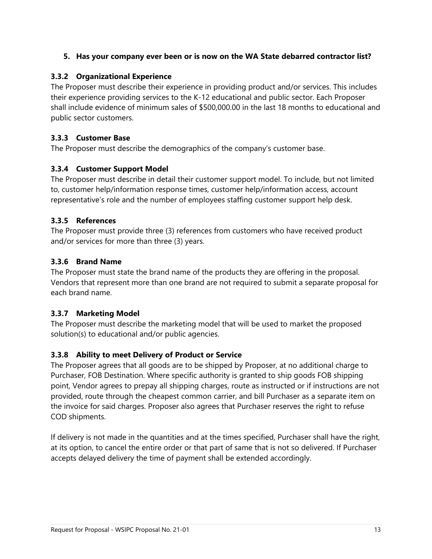#### **5. Has your company ever been or is now on the WA State debarred contractor list?**

#### <span id="page-16-0"></span>**3.3.2 Organizational Experience**

The Proposer must describe their experience in providing product and/or services. This includes their experience providing services to the K-12 educational and public sector. Each Proposer shall include evidence of minimum sales of \$500,000.00 in the last 18 months to educational and public sector customers.

#### <span id="page-16-1"></span>**3.3.3 Customer Base**

The Proposer must describe the demographics of the company's customer base.

#### <span id="page-16-2"></span>**3.3.4 Customer Support Model**

The Proposer must describe in detail their customer support model. To include, but not limited to, customer help/information response times, customer help/information access, account representative's role and the number of employees staffing customer support help desk.

#### <span id="page-16-3"></span>**3.3.5 References**

The Proposer must provide three (3) references from customers who have received product and/or services for more than three (3) years.

#### <span id="page-16-4"></span>**3.3.6 Brand Name**

The Proposer must state the brand name of the products they are offering in the proposal. Vendors that represent more than one brand are not required to submit a separate proposal for each brand name.

## <span id="page-16-5"></span>**3.3.7 Marketing Model**

The Proposer must describe the marketing model that will be used to market the proposed solution(s) to educational and/or public agencies.

## <span id="page-16-6"></span>**3.3.8 Ability to meet Delivery of Product or Service**

The Proposer agrees that all goods are to be shipped by Proposer, at no additional charge to Purchaser, FOB Destination. Where specific authority is granted to ship goods FOB shipping point, Vendor agrees to prepay all shipping charges, route as instructed or if instructions are not provided, route through the cheapest common carrier, and bill Purchaser as a separate item on the invoice for said charges. Proposer also agrees that Purchaser reserves the right to refuse COD shipments.

If delivery is not made in the quantities and at the times specified, Purchaser shall have the right, at its option, to cancel the entire order or that part of same that is not so delivered. If Purchaser accepts delayed delivery the time of payment shall be extended accordingly.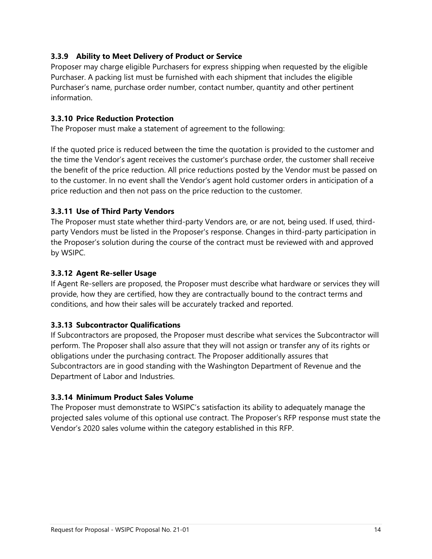#### <span id="page-17-0"></span>**3.3.9 Ability to Meet Delivery of Product or Service**

Proposer may charge eligible Purchasers for express shipping when requested by the eligible Purchaser. A packing list must be furnished with each shipment that includes the eligible Purchaser's name, purchase order number, contact number, quantity and other pertinent information.

#### <span id="page-17-1"></span>**3.3.10 Price Reduction Protection**

The Proposer must make a statement of agreement to the following:

If the quoted price is reduced between the time the quotation is provided to the customer and the time the Vendor's agent receives the customer's purchase order, the customer shall receive the benefit of the price reduction. All price reductions posted by the Vendor must be passed on to the customer. In no event shall the Vendor's agent hold customer orders in anticipation of a price reduction and then not pass on the price reduction to the customer.

#### <span id="page-17-2"></span>**3.3.11 Use of Third Party Vendors**

The Proposer must state whether third-party Vendors are, or are not, being used. If used, thirdparty Vendors must be listed in the Proposer's response. Changes in third-party participation in the Proposer's solution during the course of the contract must be reviewed with and approved by WSIPC.

#### <span id="page-17-3"></span>**3.3.12 Agent Re-seller Usage**

If Agent Re-sellers are proposed, the Proposer must describe what hardware or services they will provide, how they are certified, how they are contractually bound to the contract terms and conditions, and how their sales will be accurately tracked and reported.

#### <span id="page-17-4"></span>**3.3.13 Subcontractor Qualifications**

If Subcontractors are proposed, the Proposer must describe what services the Subcontractor will perform. The Proposer shall also assure that they will not assign or transfer any of its rights or obligations under the purchasing contract. The Proposer additionally assures that Subcontractors are in good standing with the Washington Department of Revenue and the Department of Labor and Industries.

#### <span id="page-17-5"></span>**3.3.14 Minimum Product Sales Volume**

The Proposer must demonstrate to WSIPC's satisfaction its ability to adequately manage the projected sales volume of this optional use contract. The Proposer's RFP response must state the Vendor's 2020 sales volume within the category established in this RFP.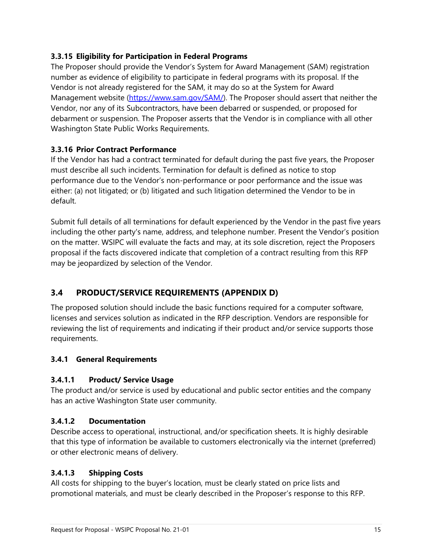#### <span id="page-18-0"></span>**3.3.15 Eligibility for Participation in Federal Programs**

The Proposer should provide the Vendor's System for Award Management (SAM) registration number as evidence of eligibility to participate in federal programs with its proposal. If the Vendor is not already registered for the SAM, it may do so at the System for Award Management website [\(https://www.sam.gov/SAM/\)](https://www.sam.gov/SAM/). The Proposer should assert that neither the Vendor, nor any of its Subcontractors, have been debarred or suspended, or proposed for debarment or suspension. The Proposer asserts that the Vendor is in compliance with all other Washington State Public Works Requirements.

#### <span id="page-18-1"></span>**3.3.16 Prior Contract Performance**

If the Vendor has had a contract terminated for default during the past five years, the Proposer must describe all such incidents. Termination for default is defined as notice to stop performance due to the Vendor's non-performance or poor performance and the issue was either: (a) not litigated; or (b) litigated and such litigation determined the Vendor to be in default.

Submit full details of all terminations for default experienced by the Vendor in the past five years including the other party's name, address, and telephone number. Present the Vendor's position on the matter. WSIPC will evaluate the facts and may, at its sole discretion, reject the Proposers proposal if the facts discovered indicate that completion of a contract resulting from this RFP may be jeopardized by selection of the Vendor.

## <span id="page-18-2"></span>**3.4 PRODUCT/SERVICE REQUIREMENTS (APPENDIX D)**

The proposed solution should include the basic functions required for a computer software, licenses and services solution as indicated in the RFP description. Vendors are responsible for reviewing the list of requirements and indicating if their product and/or service supports those requirements.

## <span id="page-18-3"></span>**3.4.1 General Requirements**

#### **3.4.1.1 Product/ Service Usage**

The product and/or service is used by educational and public sector entities and the company has an active Washington State user community.

#### **3.4.1.2 Documentation**

Describe access to operational, instructional, and/or specification sheets. It is highly desirable that this type of information be available to customers electronically via the internet (preferred) or other electronic means of delivery.

#### **3.4.1.3 Shipping Costs**

All costs for shipping to the buyer's location, must be clearly stated on price lists and promotional materials, and must be clearly described in the Proposer's response to this RFP.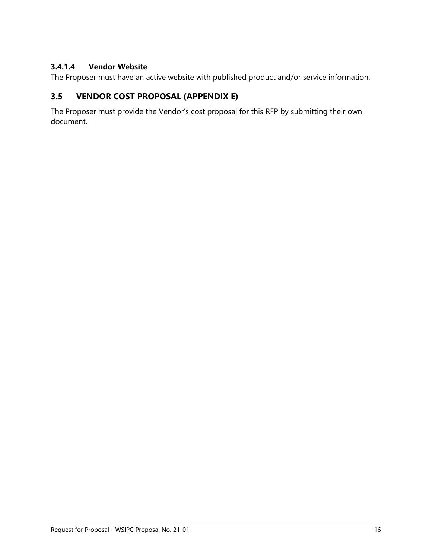#### **3.4.1.4 Vendor Website**

<span id="page-19-0"></span>The Proposer must have an active website with published product and/or service information.

## **3.5 VENDOR COST PROPOSAL (APPENDIX E)**

The Proposer must provide the Vendor's cost proposal for this RFP by submitting their own document.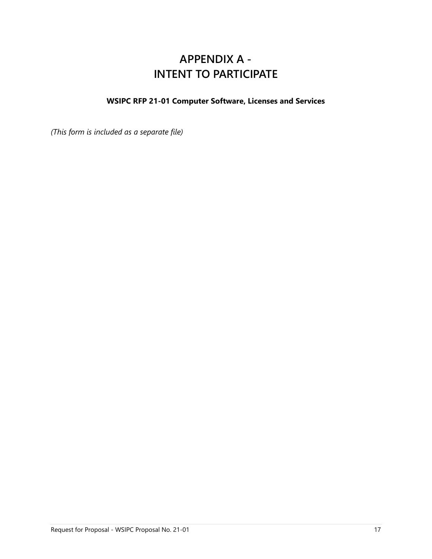## **APPENDIX A - INTENT TO PARTICIPATE**

## <span id="page-20-0"></span>**WSIPC RFP 21-01 Computer Software, Licenses and Services**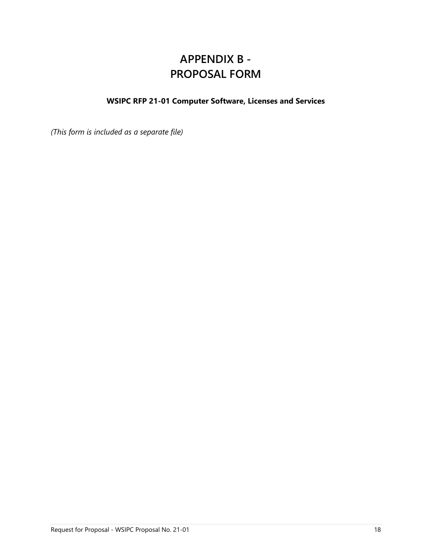## **APPENDIX B - PROPOSAL FORM**

## <span id="page-21-0"></span>**WSIPC RFP 21-01 Computer Software, Licenses and Services**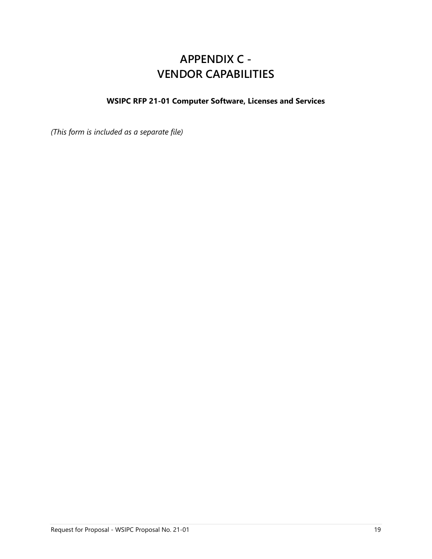## **APPENDIX C - VENDOR CAPABILITIES**

## <span id="page-22-0"></span>**WSIPC RFP 21-01 Computer Software, Licenses and Services**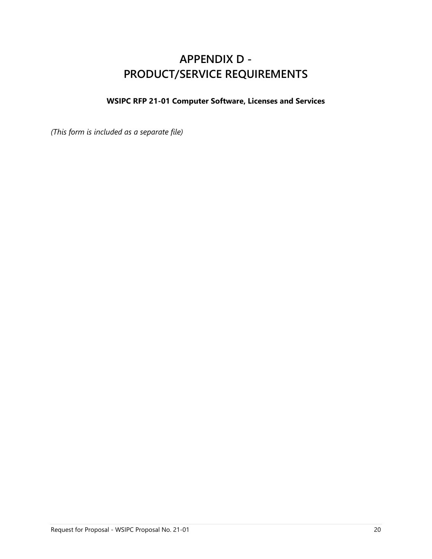## **APPENDIX D - PRODUCT/SERVICE REQUIREMENTS**

## <span id="page-23-0"></span>**WSIPC RFP 21-01 Computer Software, Licenses and Services**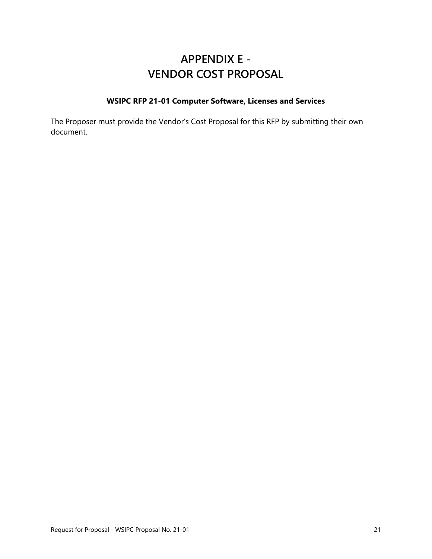## **APPENDIX E - VENDOR COST PROPOSAL**

#### **WSIPC RFP 21-01 Computer Software, Licenses and Services**

<span id="page-24-0"></span>The Proposer must provide the Vendor's Cost Proposal for this RFP by submitting their own document.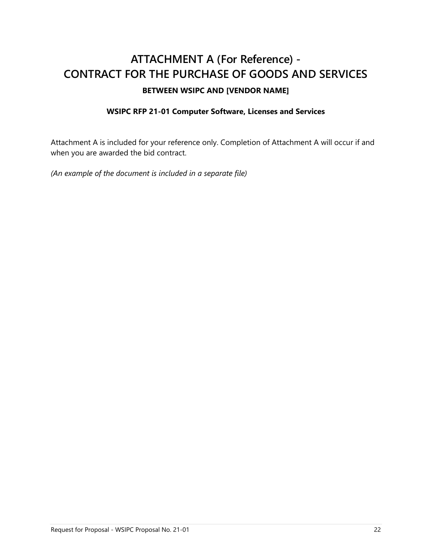## <span id="page-25-0"></span>**ATTACHMENT A (For Reference) - CONTRACT FOR THE PURCHASE OF GOODS AND SERVICES BETWEEN WSIPC AND [VENDOR NAME]**

#### **WSIPC RFP 21-01 Computer Software, Licenses and Services**

Attachment A is included for your reference only. Completion of Attachment A will occur if and when you are awarded the bid contract.

*(An example of the document is included in a separate file)*